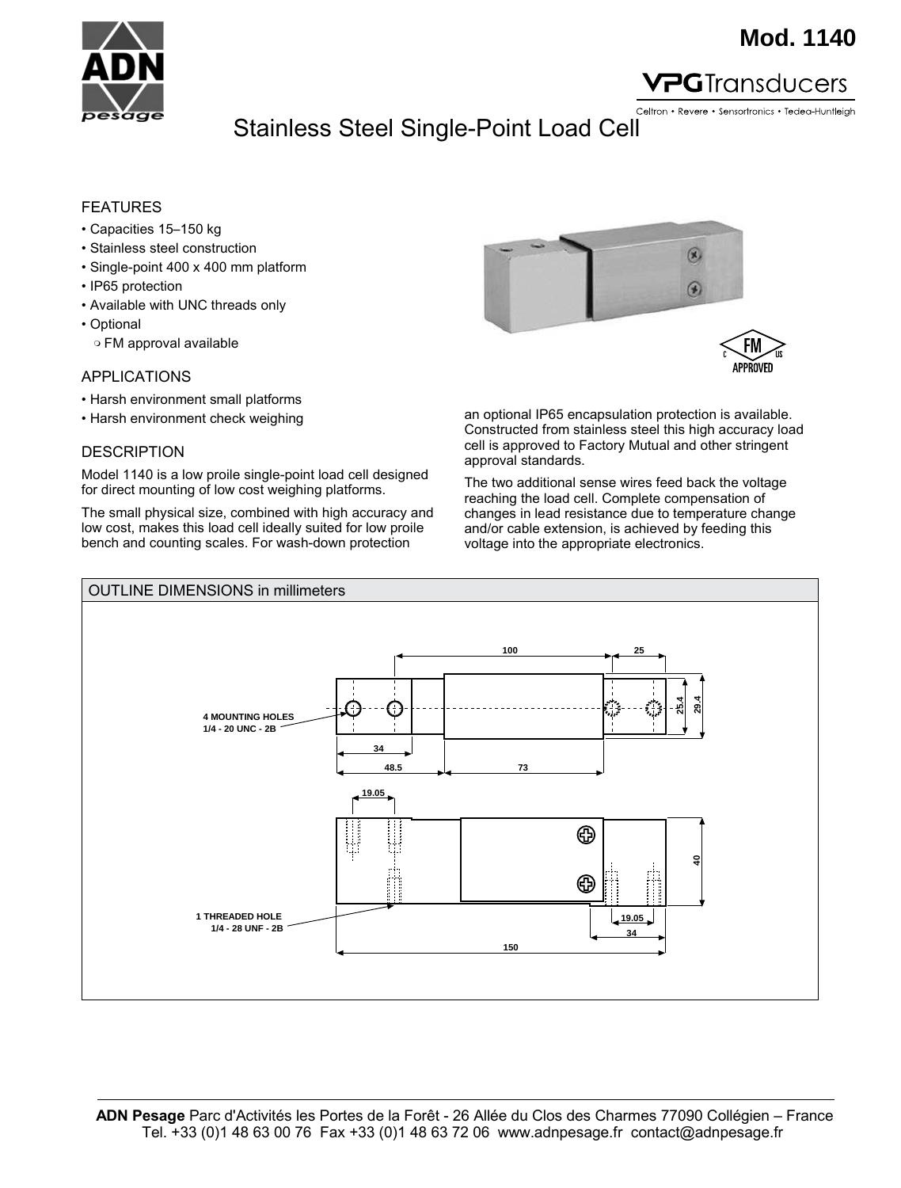

### **Mod. 1140**

#### **PG**Transducers

Celtron • Revere • Sensortronics • Tedea-Huntleigh

## Stainless Steel Single-Point Load Cell Stainless Steel Single-Point Load Cell

#### FEATURES

- Capacities 15–150 kg
- Stainless steel construction
- Single-point 400 x 400 mm platform
- IP65 protection
- Available with UNC threads only
- Optional
	- ❍ FM approval available

#### APPLICATIONS

- Harsh environment small platforms
- Harsh environment check weighing

#### **DESCRIPTION**

Model 1140 is a low proile single-point load cell designed for direct mounting of low cost weighing platforms.

The small physical size, combined with high accuracy and low cost, makes this load cell ideally suited for low proile bench and counting scales. For wash-down protection



an optional IP65 encapsulation protection is available. Constructed from stainless steel this high accuracy load cell is approved to Factory Mutual and other stringent approval standards.

The two additional sense wires feed back the voltage reaching the load cell. Complete compensation of changes in lead resistance due to temperature change and/or cable extension, is achieved by feeding this voltage into the appropriate electronics.

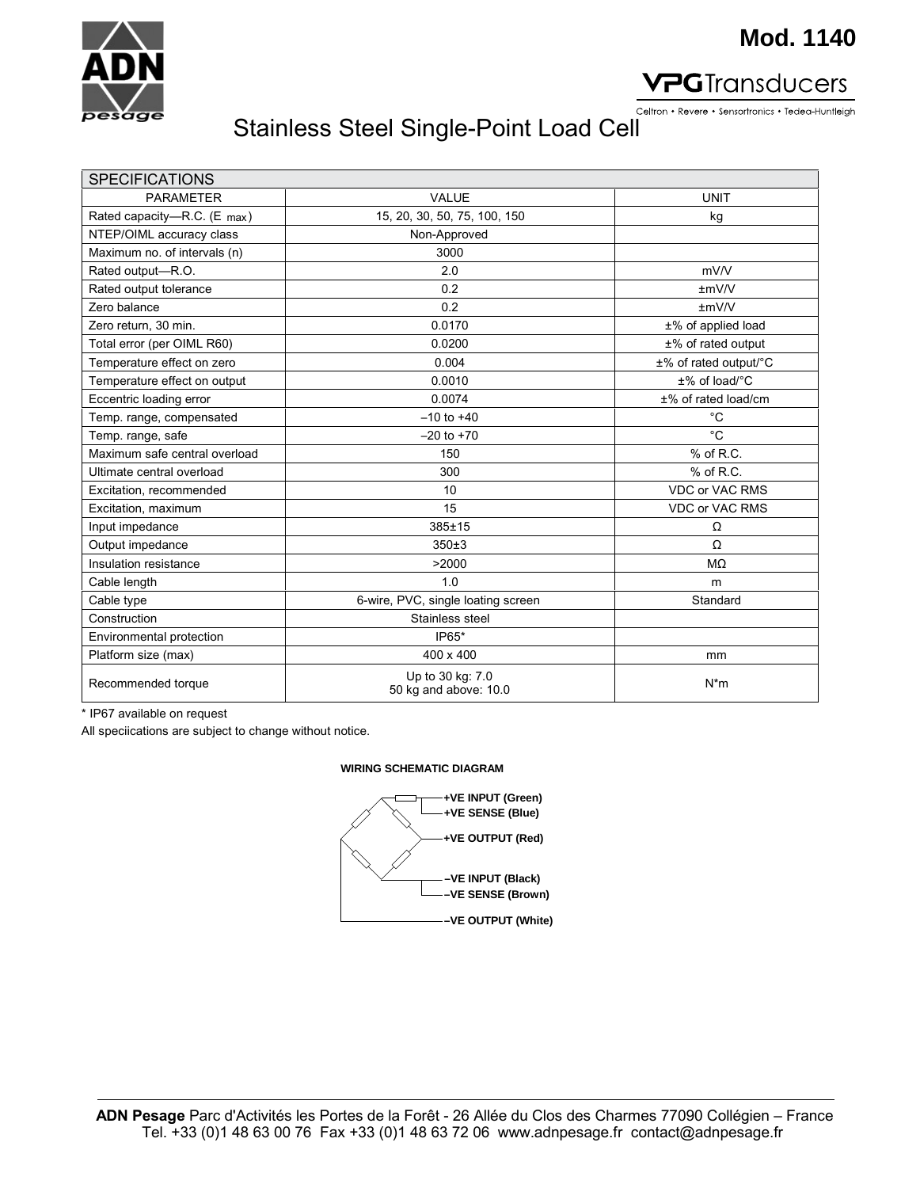

## **Mod. 1140**

#### **PG**Transducers

Celtron • Revere • Sensortronics • Tedea-Huntleigh

# Stainless Steel Single-Point Load Cell

| <b>SPECIFICATIONS</b>         |                                           |                       |
|-------------------------------|-------------------------------------------|-----------------------|
| <b>PARAMETER</b>              | <b>VALUE</b>                              | <b>UNIT</b>           |
| Rated capacity-R.C. (E max)   | 15, 20, 30, 50, 75, 100, 150              | kg                    |
| NTEP/OIML accuracy class      | Non-Approved                              |                       |
| Maximum no. of intervals (n)  | 3000                                      |                       |
| Rated output-R.O.             | 2.0                                       | mV/V                  |
| Rated output tolerance        | 0.2                                       | $\pm$ mV/V            |
| Zero balance                  | 0.2                                       | $\pm$ m $V/V$         |
| Zero return, 30 min.          | 0.0170                                    | ±% of applied load    |
| Total error (per OIML R60)    | 0.0200                                    | $±%$ of rated output  |
| Temperature effect on zero    | 0.004                                     | ±% of rated output/°C |
| Temperature effect on output  | 0.0010                                    | $±\%$ of load/°C      |
| Eccentric loading error       | 0.0074                                    | ±% of rated load/cm   |
| Temp. range, compensated      | $-10$ to $+40$                            | $^{\circ}$ C          |
| Temp. range, safe             | $-20$ to $+70$                            | °C                    |
| Maximum safe central overload | 150                                       | $%$ of R.C.           |
| Ultimate central overload     | 300                                       | $%$ of R.C.           |
| Excitation, recommended       | 10                                        | <b>VDC or VAC RMS</b> |
| Excitation, maximum           | 15                                        | <b>VDC or VAC RMS</b> |
| Input impedance               | 385±15                                    | Ω                     |
| Output impedance              | 350±3                                     | Ω                     |
| Insulation resistance         | >2000                                     | MΩ                    |
| Cable length                  | 1.0                                       | m                     |
| Cable type                    | 6-wire, PVC, single loating screen        | Standard              |
| Construction                  | Stainless steel                           |                       |
| Environmental protection      | IP65*                                     |                       |
| Platform size (max)           | 400 x 400                                 | mm                    |
| Recommended torque            | Up to 30 kg: 7.0<br>50 kg and above: 10.0 | $N^*m$                |

\* IP67 available on request

All speciications are subject to change without notice.

#### **WIRING SCHEMATIC DIAGRAM**